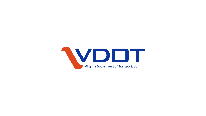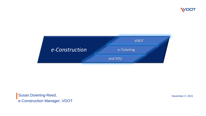



Susan.Downing-Reed, e-Construction Manager, VDOT

November X, 2021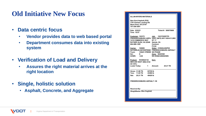### **Old Initiative New Focus**

- **Data centric focus**
	- **Vendor provides data to web based portal**
	- **Department consumes data into existing system**
- **Verification of Load and Delivery**
	- **Assures the right material arrives at the right location**
- **Single, holistic solution**
	- **Asphalt, Concrete, and Aggregate**

| New Kent Asphalt (P20)             |  |                                                                       |  |
|------------------------------------|--|-----------------------------------------------------------------------|--|
| 7701 Parham Landing Rd             |  |                                                                       |  |
| West Point, VA 23181               |  |                                                                       |  |
| 757-250-3091                       |  |                                                                       |  |
|                                    |  |                                                                       |  |
| Date: 9/22/21                      |  | Ticket #: 300075608                                                   |  |
| Time: 10:07                        |  |                                                                       |  |
|                                    |  |                                                                       |  |
| <b>Customer: 102375</b>            |  | Job: 10237520STP0<br>FREDERICKSBURG ASPH، VDOT (NFO) 0017-059-611,M50 |  |
| <b>7419 COMMERCE WAY</b>           |  | <b>RT 17</b>                                                          |  |
| RUTHER GLEN, VA 22546 Saluda, VA   |  |                                                                       |  |
| 804-589-1295                       |  | Contract:                                                             |  |
|                                    |  | $P.O.$ #:                                                             |  |
| Carrier: 108809                    |  | Order: 210922L002P20                                                  |  |
|                                    |  | SUTHERLIN ENTERPRISE: FREDERICKSBURG ASPHALT                          |  |
| Truck: 138421 /FREDE NO PHASE      |  |                                                                       |  |
| Del:<br>N                          |  | Zone: NOZONE<br><b>NO ZONE/UNKNOWN</b>                                |  |
| GVWR: 0.00                         |  |                                                                       |  |
| Product: NV40622132                |  | Item:                                                                 |  |
| SM12.5D VDOT 4062-2132             |  |                                                                       |  |
| AC-VA%:                            |  |                                                                       |  |
| Loads Today: 1 Amount: 20.21 TN    |  |                                                                       |  |
|                                    |  |                                                                       |  |
| Gross: 31.86 TN<br>63720 lb        |  |                                                                       |  |
| Tare: 11.65 TN 23300 lb            |  |                                                                       |  |
| Net: 20.21 TN 40420 lb             |  |                                                                       |  |
|                                    |  |                                                                       |  |
| <b>FREDERICKSBURG ASPHALT / SA</b> |  |                                                                       |  |
|                                    |  |                                                                       |  |
|                                    |  |                                                                       |  |
|                                    |  |                                                                       |  |
| Received By:                       |  |                                                                       |  |
| WeighMaster: Wes Hughlett          |  |                                                                       |  |
|                                    |  |                                                                       |  |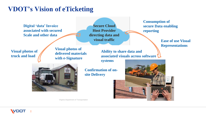## **VDOT's Vision of eTicketing**

**Digital 'data' Invoice associated with secured Scale and other data** 

**Secure Cloud Host Provider directing data and visual traffic**

**Visual photos of truck and load** 

**Visual photos of delivered materials with e-Signature** 

**Ability to share data and associated visuals across software** 

**systems**



**Confirmation of onsite Delivery**

**Consumption of secure Data enabling reporting** 

> **Ease of use Visual Representations**

Virginia Department of Transportation

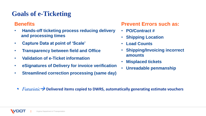## **Goals of e-Ticketing**

#### **Benefits**

- **Hands-off ticketing process reducing delivery and processing times**
- **Capture Data at point of 'Scale'**
- **Transparency between field and Office**
- **Validation of e-Ticket information**
- **eSignatures of Delivery for invoice verification**
- **Streamlined correction processing (same day)**

#### **Prevent Errors such as:**

- **PO/Contract #**
- **Shipping Location**
- **Load Counts**
- **Shipping/Invoicing incorrect amounts**
- **Misplaced tickets**
- **Unreadable penmanship**

• Futuristic→ **Delivered items copied to DWRS, automatically generating estimate vouchers**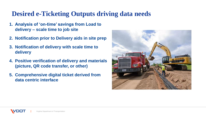## **Desired e-Ticketing Outputs driving data needs**

- **1. Analysis of 'on-time' savings from Load to delivery – scale time to job site**
- **2. Notification prior to Delivery aids in site prep**
- **3. Notification of delivery with scale time to delivery**
- **4. Positive verification of delivery and materials (picture, QR code transfer, or other)**
- **5. Comprehensive digital ticket derived from data centric interface**

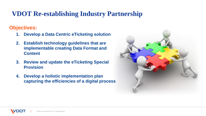## **VDOT Re-establishing Industry Partnership**

**Objectives:** 

- **1. Develop a Data Centric eTicketing solution**
- **2. Establish technology guidelines that are implementable creating Data Format and Content**
- **3. Review and update the eTicketing Special Provision**
- **4. Develop a holistic implementation plan capturing the efficiencies of a digital process**

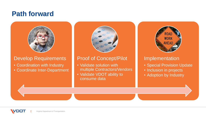## **Path forward**



#### Develop Requirements

- Coordination with Industry
- Coordinate Inter-Department



#### Proof of Concept/Pilot

- Validate solution with multiple Contractors/Vendors
- Validate VDOT ability to consume data



#### Implementation

- Special Provision Update
- Inclusion in projects
- Adoption by Industry

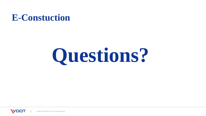## **E-Constuction**

# **Questions?**